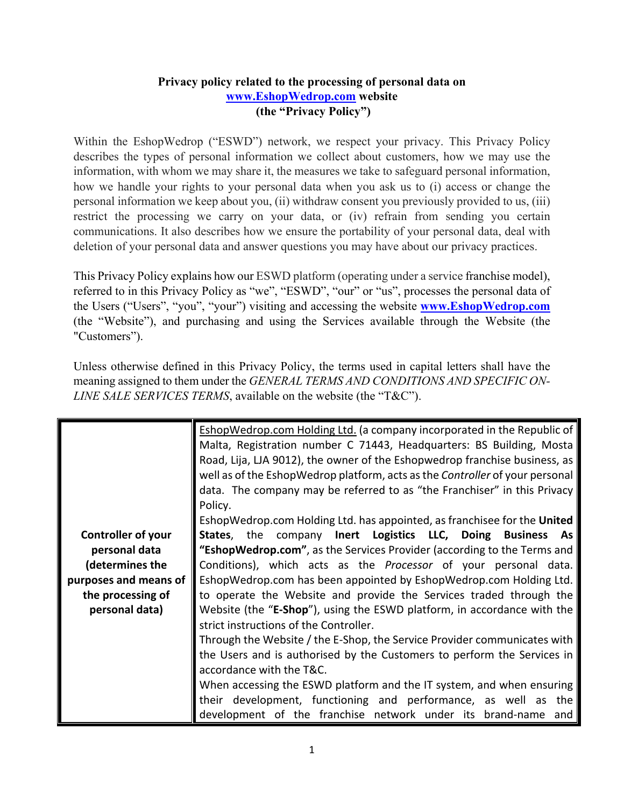## **Privacy policy related to the processing of personal data on www.EshopWedrop.com website (the "Privacy Policy")**

Within the EshopWedrop ("ESWD") network, we respect your privacy. This Privacy Policy describes the types of personal information we collect about customers, how we may use the information, with whom we may share it, the measures we take to safeguard personal information, how we handle your rights to your personal data when you ask us to (i) access or change the personal information we keep about you, (ii) withdraw consent you previously provided to us, (iii) restrict the processing we carry on your data, or (iv) refrain from sending you certain communications. It also describes how we ensure the portability of your personal data, deal with deletion of your personal data and answer questions you may have about our privacy practices.

This Privacy Policy explains how our ESWD platform (operating under a service franchise model), referred to in this Privacy Policy as "we", "ESWD", "our" or "us", processes the personal data of the Users ("Users", "you", "your") visiting and accessing the website **www.EshopWedrop.com** (the "Website"), and purchasing and using the Services available through the Website (the "Customers").

Unless otherwise defined in this Privacy Policy, the terms used in capital letters shall have the meaning assigned to them under the *GENERAL TERMS AND CONDITIONS AND SPECIFIC ON-LINE SALE SERVICES TERMS*, available on the website (the "T&C").

|                       | <b>EshopWedrop.com Holding Ltd. (a company incorporated in the Republic of</b><br>Malta, Registration number C 71443, Headquarters: BS Building, Mosta<br>Road, Lija, LJA 9012), the owner of the Eshopwedrop franchise business, as<br>well as of the EshopWedrop platform, acts as the Controller of your personal<br>data. The company may be referred to as "the Franchiser" in this Privacy<br>Policy.<br>EshopWedrop.com Holding Ltd. has appointed, as franchisee for the United |
|-----------------------|-----------------------------------------------------------------------------------------------------------------------------------------------------------------------------------------------------------------------------------------------------------------------------------------------------------------------------------------------------------------------------------------------------------------------------------------------------------------------------------------|
| Controller of your    | States, the company Inert Logistics LLC, Doing Business As                                                                                                                                                                                                                                                                                                                                                                                                                              |
| personal data         | "EshopWedrop.com", as the Services Provider (according to the Terms and                                                                                                                                                                                                                                                                                                                                                                                                                 |
| (determines the       | Conditions), which acts as the <i>Processor</i> of your personal data.                                                                                                                                                                                                                                                                                                                                                                                                                  |
| purposes and means of | EshopWedrop.com has been appointed by EshopWedrop.com Holding Ltd.                                                                                                                                                                                                                                                                                                                                                                                                                      |
| the processing of     | to operate the Website and provide the Services traded through the                                                                                                                                                                                                                                                                                                                                                                                                                      |
| personal data)        | Website (the "E-Shop"), using the ESWD platform, in accordance with the                                                                                                                                                                                                                                                                                                                                                                                                                 |
|                       | strict instructions of the Controller.                                                                                                                                                                                                                                                                                                                                                                                                                                                  |
|                       | Through the Website / the E-Shop, the Service Provider communicates with                                                                                                                                                                                                                                                                                                                                                                                                                |
|                       | the Users and is authorised by the Customers to perform the Services in                                                                                                                                                                                                                                                                                                                                                                                                                 |
|                       | accordance with the T&C.                                                                                                                                                                                                                                                                                                                                                                                                                                                                |
|                       | When accessing the ESWD platform and the IT system, and when ensuring                                                                                                                                                                                                                                                                                                                                                                                                                   |
|                       | their development, functioning and performance, as well as the                                                                                                                                                                                                                                                                                                                                                                                                                          |
|                       | development of the franchise network under its brand-name and                                                                                                                                                                                                                                                                                                                                                                                                                           |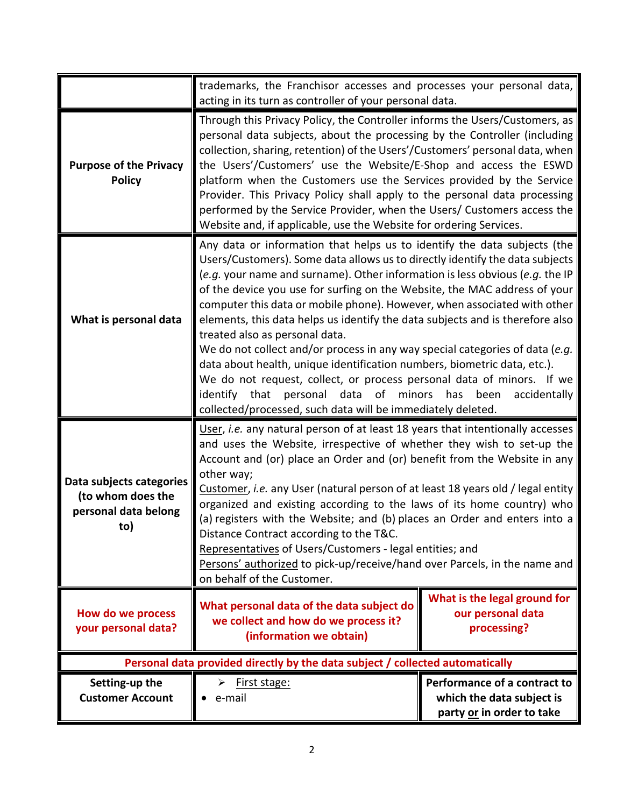|                                                                              | trademarks, the Franchisor accesses and processes your personal data,<br>acting in its turn as controller of your personal data.                                                                                                                                                                                                                                                                                                                                                                                                                                                                                                                                                                                                                                                                                                                                                                       |                                                                                        |
|------------------------------------------------------------------------------|--------------------------------------------------------------------------------------------------------------------------------------------------------------------------------------------------------------------------------------------------------------------------------------------------------------------------------------------------------------------------------------------------------------------------------------------------------------------------------------------------------------------------------------------------------------------------------------------------------------------------------------------------------------------------------------------------------------------------------------------------------------------------------------------------------------------------------------------------------------------------------------------------------|----------------------------------------------------------------------------------------|
| <b>Purpose of the Privacy</b><br><b>Policy</b>                               | Through this Privacy Policy, the Controller informs the Users/Customers, as<br>personal data subjects, about the processing by the Controller (including<br>collection, sharing, retention) of the Users'/Customers' personal data, when<br>the Users'/Customers' use the Website/E-Shop and access the ESWD<br>platform when the Customers use the Services provided by the Service<br>Provider. This Privacy Policy shall apply to the personal data processing<br>performed by the Service Provider, when the Users/ Customers access the<br>Website and, if applicable, use the Website for ordering Services.                                                                                                                                                                                                                                                                                     |                                                                                        |
| What is personal data                                                        | Any data or information that helps us to identify the data subjects (the<br>Users/Customers). Some data allows us to directly identify the data subjects<br>(e.g. your name and surname). Other information is less obvious (e.g. the IP<br>of the device you use for surfing on the Website, the MAC address of your<br>computer this data or mobile phone). However, when associated with other<br>elements, this data helps us identify the data subjects and is therefore also<br>treated also as personal data.<br>We do not collect and/or process in any way special categories of data (e.g.<br>data about health, unique identification numbers, biometric data, etc.).<br>We do not request, collect, or process personal data of minors. If we<br>identify that<br>personal data of<br>minors<br>has<br>been<br>accidentally<br>collected/processed, such data will be immediately deleted. |                                                                                        |
| Data subjects categories<br>(to whom does the<br>personal data belong<br>to) | User, i.e. any natural person of at least 18 years that intentionally accesses<br>and uses the Website, irrespective of whether they wish to set-up the<br>Account and (or) place an Order and (or) benefit from the Website in any<br>other way;<br>Customer, i.e. any User (natural person of at least 18 years old / legal entity<br>organized and existing according to the laws of its home country) who<br>(a) registers with the Website; and (b) places an Order and enters into a<br>Distance Contract according to the T&C.<br>Representatives of Users/Customers - legal entities; and<br>Persons' authorized to pick-up/receive/hand over Parcels, in the name and<br>on behalf of the Customer.                                                                                                                                                                                           |                                                                                        |
| How do we process<br>your personal data?                                     | What personal data of the data subject do<br>we collect and how do we process it?<br>(information we obtain)                                                                                                                                                                                                                                                                                                                                                                                                                                                                                                                                                                                                                                                                                                                                                                                           | What is the legal ground for<br>our personal data<br>processing?                       |
|                                                                              | Personal data provided directly by the data subject / collected automatically                                                                                                                                                                                                                                                                                                                                                                                                                                                                                                                                                                                                                                                                                                                                                                                                                          |                                                                                        |
| Setting-up the<br><b>Customer Account</b>                                    | First stage:<br>➤<br>e-mail                                                                                                                                                                                                                                                                                                                                                                                                                                                                                                                                                                                                                                                                                                                                                                                                                                                                            | Performance of a contract to<br>which the data subject is<br>party or in order to take |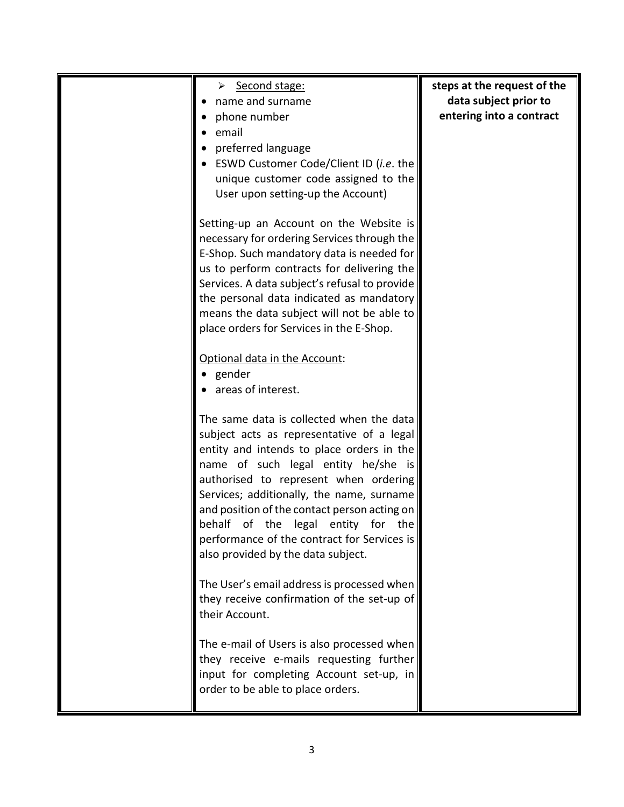| > Second stage:                               | steps at the request of the |
|-----------------------------------------------|-----------------------------|
|                                               |                             |
| name and surname                              | data subject prior to       |
| phone number                                  | entering into a contract    |
| email                                         |                             |
| preferred language                            |                             |
| ESWD Customer Code/Client ID (i.e. the        |                             |
| unique customer code assigned to the          |                             |
| User upon setting-up the Account)             |                             |
|                                               |                             |
| Setting-up an Account on the Website is       |                             |
| necessary for ordering Services through the   |                             |
| E-Shop. Such mandatory data is needed for     |                             |
| us to perform contracts for delivering the    |                             |
| Services. A data subject's refusal to provide |                             |
| the personal data indicated as mandatory      |                             |
| means the data subject will not be able to    |                             |
| place orders for Services in the E-Shop.      |                             |
|                                               |                             |
|                                               |                             |
| Optional data in the Account:                 |                             |
| gender                                        |                             |
| areas of interest.                            |                             |
|                                               |                             |
| The same data is collected when the data      |                             |
| subject acts as representative of a legal     |                             |
| entity and intends to place orders in the     |                             |
| name of such legal entity he/she is           |                             |
| authorised to represent when ordering         |                             |
| Services; additionally, the name, surname     |                             |
| and position of the contact person acting on  |                             |
| behalf of the legal entity for the            |                             |
| performance of the contract for Services is   |                             |
| also provided by the data subject.            |                             |
|                                               |                             |
| The User's email address is processed when    |                             |
| they receive confirmation of the set-up of    |                             |
| their Account.                                |                             |
| The e-mail of Users is also processed when    |                             |
| they receive e-mails requesting further       |                             |
| input for completing Account set-up, in       |                             |
|                                               |                             |
| order to be able to place orders.             |                             |
|                                               |                             |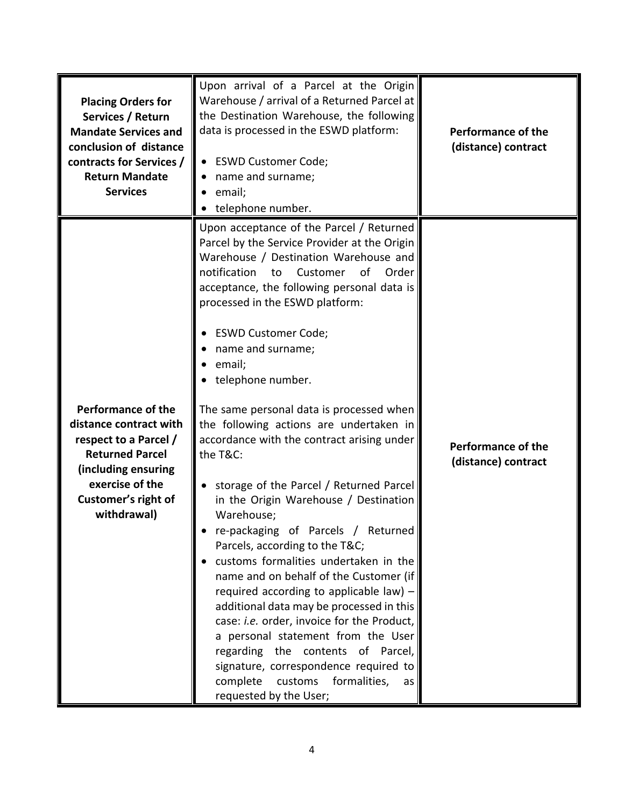| <b>Placing Orders for</b><br>Services / Return<br><b>Mandate Services and</b><br>conclusion of distance<br>contracts for Services /<br><b>Return Mandate</b><br><b>Services</b>        | Upon arrival of a Parcel at the Origin<br>Warehouse / arrival of a Returned Parcel at<br>the Destination Warehouse, the following<br>data is processed in the ESWD platform:<br>• ESWD Customer Code;<br>name and surname;<br>email;<br>telephone number.                                                                                                                                                                                                                                                                                                                                                                                                                                                                                                                                                                                                                                                                                                                                                                                                                                   | <b>Performance of the</b><br>(distance) contract |
|----------------------------------------------------------------------------------------------------------------------------------------------------------------------------------------|---------------------------------------------------------------------------------------------------------------------------------------------------------------------------------------------------------------------------------------------------------------------------------------------------------------------------------------------------------------------------------------------------------------------------------------------------------------------------------------------------------------------------------------------------------------------------------------------------------------------------------------------------------------------------------------------------------------------------------------------------------------------------------------------------------------------------------------------------------------------------------------------------------------------------------------------------------------------------------------------------------------------------------------------------------------------------------------------|--------------------------------------------------|
| <b>Performance of the</b><br>distance contract with<br>respect to a Parcel /<br><b>Returned Parcel</b><br>(including ensuring<br>exercise of the<br>Customer's right of<br>withdrawal) | Upon acceptance of the Parcel / Returned<br>Parcel by the Service Provider at the Origin<br>Warehouse / Destination Warehouse and<br>notification<br>Customer<br>of Order<br>to<br>acceptance, the following personal data is<br>processed in the ESWD platform:<br><b>ESWD Customer Code;</b><br>name and surname;<br>email;<br>telephone number.<br>The same personal data is processed when<br>the following actions are undertaken in<br>accordance with the contract arising under<br>the T&C:<br>storage of the Parcel / Returned Parcel<br>in the Origin Warehouse / Destination<br>Warehouse;<br>re-packaging of Parcels / Returned<br>Parcels, according to the T&C<br>customs formalities undertaken in the<br>name and on behalf of the Customer (if<br>required according to applicable law) $-$<br>additional data may be processed in this<br>case: i.e. order, invoice for the Product,<br>a personal statement from the User<br>regarding the contents of Parcel,<br>signature, correspondence required to<br>complete customs formalities,<br>as<br>requested by the User; | <b>Performance of the</b><br>(distance) contract |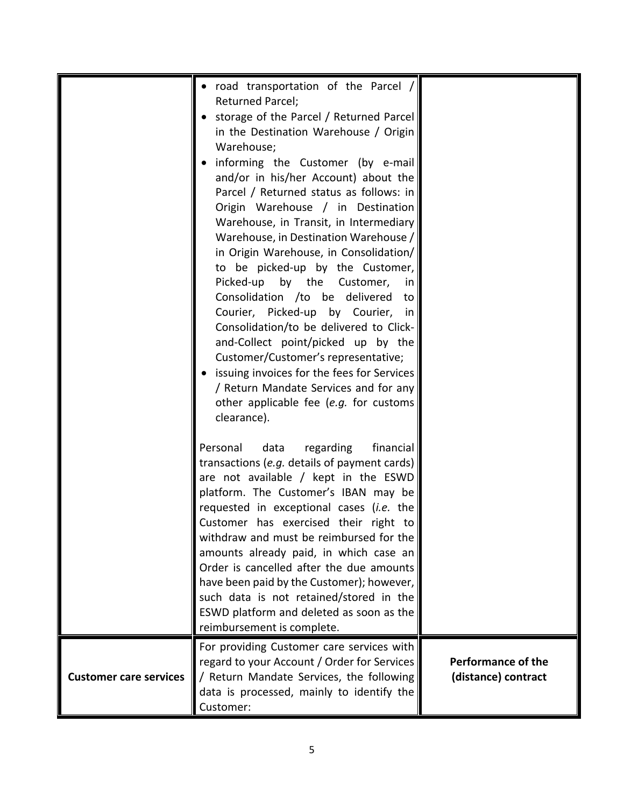|                               | road transportation of the Parcel /<br>Returned Parcel;<br>storage of the Parcel / Returned Parcel                                                                                                                                                                                                                                                                                                                                                                                   |                                                  |
|-------------------------------|--------------------------------------------------------------------------------------------------------------------------------------------------------------------------------------------------------------------------------------------------------------------------------------------------------------------------------------------------------------------------------------------------------------------------------------------------------------------------------------|--------------------------------------------------|
|                               | in the Destination Warehouse / Origin<br>Warehouse;                                                                                                                                                                                                                                                                                                                                                                                                                                  |                                                  |
|                               | informing the Customer (by e-mail<br>and/or in his/her Account) about the<br>Parcel / Returned status as follows: in<br>Origin Warehouse / in Destination<br>Warehouse, in Transit, in Intermediary<br>Warehouse, in Destination Warehouse /<br>in Origin Warehouse, in Consolidation/<br>to be picked-up by the Customer,<br>Picked-up by the Customer,<br>in.<br>Consolidation /to be delivered to<br>Courier, Picked-up by Courier, in<br>Consolidation/to be delivered to Click- |                                                  |
|                               | and-Collect point/picked up by the<br>Customer/Customer's representative;<br>issuing invoices for the fees for Services<br>/ Return Mandate Services and for any<br>other applicable fee (e.g. for customs<br>clearance).                                                                                                                                                                                                                                                            |                                                  |
|                               | financial<br>Personal<br>data<br>regarding<br>transactions (e.g. details of payment cards)<br>are not available / kept in the ESWD<br>platform. The Customer's IBAN may be<br>requested in exceptional cases (i.e. the<br>Customer has exercised their right to<br>withdraw and must be reimbursed for the<br>amounts already paid, in which case an<br>Order is cancelled after the due amounts                                                                                     |                                                  |
|                               | have been paid by the Customer); however,<br>such data is not retained/stored in the<br>ESWD platform and deleted as soon as the<br>reimbursement is complete.                                                                                                                                                                                                                                                                                                                       |                                                  |
| <b>Customer care services</b> | For providing Customer care services with<br>regard to your Account / Order for Services<br>/ Return Mandate Services, the following<br>data is processed, mainly to identify the<br>Customer:                                                                                                                                                                                                                                                                                       | <b>Performance of the</b><br>(distance) contract |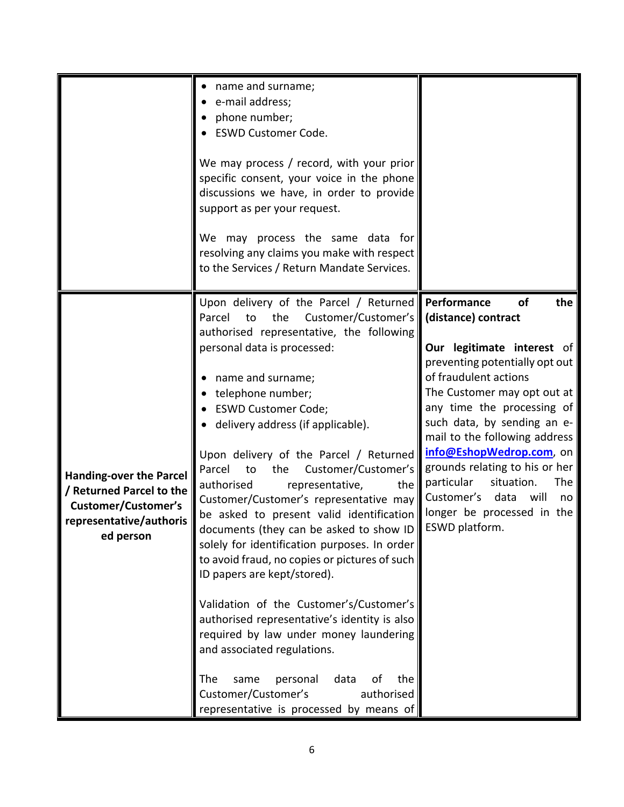|                                                                                                                                  | name and surname;<br>e-mail address;<br>phone number;<br><b>ESWD Customer Code.</b><br>We may process / record, with your prior<br>specific consent, your voice in the phone<br>discussions we have, in order to provide<br>support as per your request.<br>We may process the same data for<br>resolving any claims you make with respect<br>to the Services / Return Mandate Services.                                                                                                                                                                                                                                                                                                                                                                                                                                                                                                                                                                                          |                                                                                                                                                                                                                                                                                                                                                                                                                                                            |
|----------------------------------------------------------------------------------------------------------------------------------|-----------------------------------------------------------------------------------------------------------------------------------------------------------------------------------------------------------------------------------------------------------------------------------------------------------------------------------------------------------------------------------------------------------------------------------------------------------------------------------------------------------------------------------------------------------------------------------------------------------------------------------------------------------------------------------------------------------------------------------------------------------------------------------------------------------------------------------------------------------------------------------------------------------------------------------------------------------------------------------|------------------------------------------------------------------------------------------------------------------------------------------------------------------------------------------------------------------------------------------------------------------------------------------------------------------------------------------------------------------------------------------------------------------------------------------------------------|
| <b>Handing-over the Parcel</b><br>/ Returned Parcel to the<br><b>Customer/Customer's</b><br>representative/authoris<br>ed person | Upon delivery of the Parcel / Returned<br>Customer/Customer's<br>Parcel<br>the<br>to<br>authorised representative, the following<br>personal data is processed:<br>name and surname;<br>telephone number;<br><b>ESWD Customer Code;</b><br>delivery address (if applicable).<br>Upon delivery of the Parcel / Returned<br>Parcel<br>Customer/Customer's<br>to<br>the<br>representative,<br>authorised<br>the<br>Customer/Customer's representative may<br>be asked to present valid identification<br>documents (they can be asked to show ID<br>solely for identification purposes. In order<br>to avoid fraud, no copies or pictures of such<br>ID papers are kept/stored).<br>Validation of the Customer's/Customer's<br>authorised representative's identity is also<br>required by law under money laundering<br>and associated regulations.<br>The<br>personal<br>data<br>οf<br>the<br>same<br>Customer/Customer's<br>authorised<br>representative is processed by means of | Performance<br>of<br>the<br>(distance) contract<br>Our legitimate interest of<br>preventing potentially opt out<br>of fraudulent actions<br>The Customer may opt out at<br>any time the processing of<br>such data, by sending an e-<br>mail to the following address<br>info@EshopWedrop.com, on<br>grounds relating to his or her<br>particular<br>situation.<br>The<br>Customer's<br>data<br>will<br>no<br>longer be processed in the<br>ESWD platform. |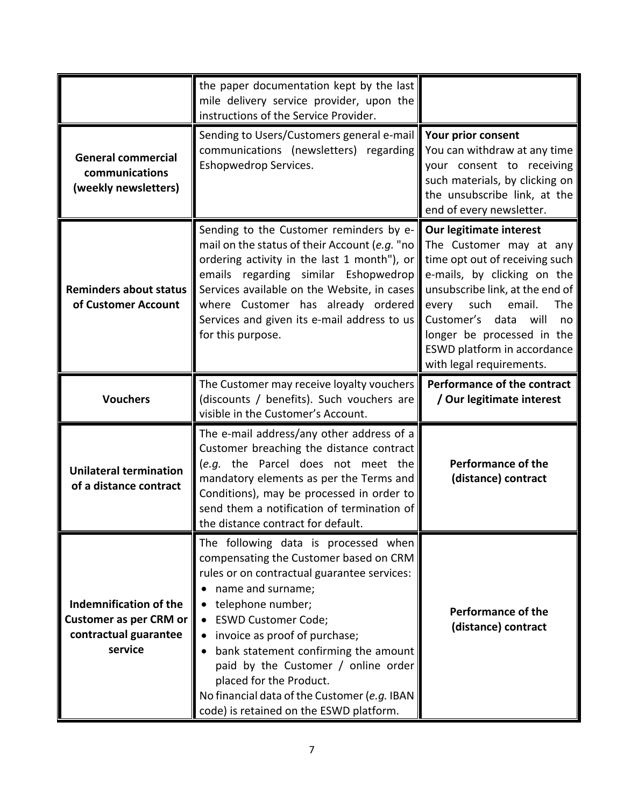|                                                                     | the paper documentation kept by the last<br>mile delivery service provider, upon the<br>instructions of the Service Provider.                                                                                                                                                                                                            |                                                                                                                                                                                                                                                                                                                    |
|---------------------------------------------------------------------|------------------------------------------------------------------------------------------------------------------------------------------------------------------------------------------------------------------------------------------------------------------------------------------------------------------------------------------|--------------------------------------------------------------------------------------------------------------------------------------------------------------------------------------------------------------------------------------------------------------------------------------------------------------------|
| <b>General commercial</b><br>communications<br>(weekly newsletters) | Sending to Users/Customers general e-mail<br>communications (newsletters) regarding<br>Eshopwedrop Services.                                                                                                                                                                                                                             | Your prior consent<br>You can withdraw at any time<br>your consent to receiving<br>such materials, by clicking on<br>the unsubscribe link, at the<br>end of every newsletter.                                                                                                                                      |
| <b>Reminders about status</b><br>of Customer Account                | Sending to the Customer reminders by e-<br>mail on the status of their Account (e.g. "no<br>ordering activity in the last 1 month"), or<br>emails regarding similar Eshopwedrop<br>Services available on the Website, in cases<br>where Customer has already ordered<br>Services and given its e-mail address to us<br>for this purpose. | Our legitimate interest<br>The Customer may at any<br>time opt out of receiving such<br>e-mails, by clicking on the<br>unsubscribe link, at the end of<br>email.<br>The<br>every<br>such<br>Customer's data<br>will<br>no<br>longer be processed in the<br>ESWD platform in accordance<br>with legal requirements. |
| <b>Vouchers</b>                                                     | The Customer may receive loyalty vouchers<br>(discounts / benefits). Such vouchers are<br>visible in the Customer's Account.                                                                                                                                                                                                             | Performance of the contract<br>/ Our legitimate interest                                                                                                                                                                                                                                                           |
| <b>Unilateral termination</b><br>of a distance contract             | The e-mail address/any other address of a<br>Customer breaching the distance contract<br>(e.g. the Parcel does not meet the<br>mandatory elements as per the Terms and<br>Conditions), may be processed in order to<br>send them a notification of termination of<br>the distance contract for default.                                  | <b>Performance of the</b><br>(distance) contract                                                                                                                                                                                                                                                                   |
|                                                                     | The following data is processed when                                                                                                                                                                                                                                                                                                     |                                                                                                                                                                                                                                                                                                                    |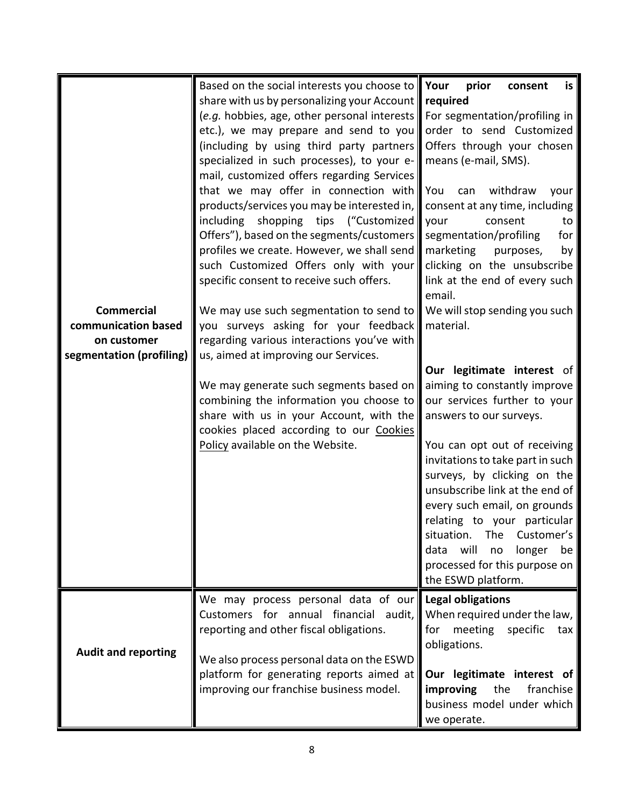| <b>Commercial</b><br>communication based<br>on customer<br>segmentation (profiling) | Based on the social interests you choose to Your<br>share with us by personalizing your Account<br>(e.g. hobbies, age, other personal interests<br>etc.), we may prepare and send to you<br>(including by using third party partners<br>specialized in such processes), to your e-<br>mail, customized offers regarding Services<br>that we may offer in connection with<br>products/services you may be interested in,<br>shopping tips ("Customized<br>including<br>Offers"), based on the segments/customers<br>profiles we create. However, we shall send<br>such Customized Offers only with your<br>specific consent to receive such offers.<br>We may use such segmentation to send to<br>you surveys asking for your feedback<br>regarding various interactions you've with<br>us, aimed at improving our Services.<br>We may generate such segments based on<br>combining the information you choose to<br>share with us in your Account, with the<br>cookies placed according to our Cookies<br>Policy available on the Website. | prior<br>is<br>consent<br>required<br>For segmentation/profiling in<br>order to send Customized<br>Offers through your chosen<br>means (e-mail, SMS).<br>withdraw<br>You<br>can<br>your<br>consent at any time, including<br>your<br>consent<br>to<br>segmentation/profiling<br>for<br>marketing<br>purposes,<br>by<br>clicking on the unsubscribe<br>link at the end of every such<br>email.<br>We will stop sending you such<br>material.<br>Our legitimate interest of<br>aiming to constantly improve<br>our services further to your<br>answers to our surveys.<br>You can opt out of receiving<br>invitations to take part in such<br>surveys, by clicking on the<br>unsubscribe link at the end of<br>every such email, on grounds<br>relating to your particular<br>situation.<br>The<br>Customer's<br>will<br>longer<br>data<br>be<br>no<br>processed for this purpose on |
|-------------------------------------------------------------------------------------|--------------------------------------------------------------------------------------------------------------------------------------------------------------------------------------------------------------------------------------------------------------------------------------------------------------------------------------------------------------------------------------------------------------------------------------------------------------------------------------------------------------------------------------------------------------------------------------------------------------------------------------------------------------------------------------------------------------------------------------------------------------------------------------------------------------------------------------------------------------------------------------------------------------------------------------------------------------------------------------------------------------------------------------------|------------------------------------------------------------------------------------------------------------------------------------------------------------------------------------------------------------------------------------------------------------------------------------------------------------------------------------------------------------------------------------------------------------------------------------------------------------------------------------------------------------------------------------------------------------------------------------------------------------------------------------------------------------------------------------------------------------------------------------------------------------------------------------------------------------------------------------------------------------------------------------|
|                                                                                     | We may process personal data of our                                                                                                                                                                                                                                                                                                                                                                                                                                                                                                                                                                                                                                                                                                                                                                                                                                                                                                                                                                                                        | the ESWD platform.<br><b>Legal obligations</b>                                                                                                                                                                                                                                                                                                                                                                                                                                                                                                                                                                                                                                                                                                                                                                                                                                     |
| <b>Audit and reporting</b>                                                          | Customers for annual financial audit,<br>reporting and other fiscal obligations.<br>We also process personal data on the ESWD<br>platform for generating reports aimed at<br>improving our franchise business model.                                                                                                                                                                                                                                                                                                                                                                                                                                                                                                                                                                                                                                                                                                                                                                                                                       | When required under the law,<br>meeting<br>specific<br>for<br>tax<br>obligations.<br>Our legitimate interest of<br>improving<br>the<br>franchise<br>business model under which<br>we operate.                                                                                                                                                                                                                                                                                                                                                                                                                                                                                                                                                                                                                                                                                      |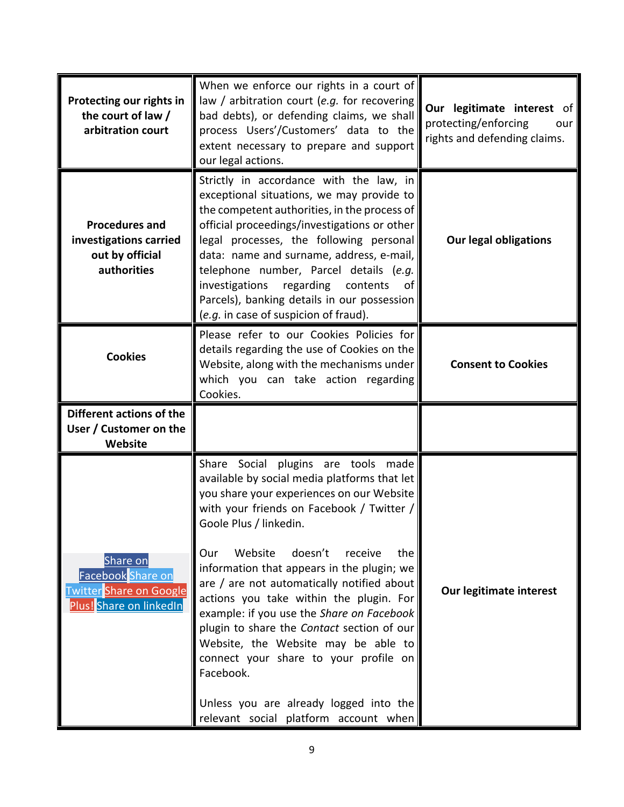| Protecting our rights in<br>the court of law /<br>arbitration court                 | When we enforce our rights in a court of<br>law / arbitration court (e.g. for recovering<br>bad debts), or defending claims, we shall<br>process Users'/Customers' data to the<br>extent necessary to prepare and support<br>our legal actions.                                                                                                                                                                                                                                                                                                                                                                                                                       | Our legitimate interest of<br>protecting/enforcing<br>our<br>rights and defending claims. |
|-------------------------------------------------------------------------------------|-----------------------------------------------------------------------------------------------------------------------------------------------------------------------------------------------------------------------------------------------------------------------------------------------------------------------------------------------------------------------------------------------------------------------------------------------------------------------------------------------------------------------------------------------------------------------------------------------------------------------------------------------------------------------|-------------------------------------------------------------------------------------------|
| <b>Procedures and</b><br>investigations carried<br>out by official<br>authorities   | Strictly in accordance with the law, in<br>exceptional situations, we may provide to<br>the competent authorities, in the process of<br>official proceedings/investigations or other<br>legal processes, the following personal<br>data: name and surname, address, e-mail,<br>telephone number, Parcel details (e.g.<br>investigations regarding contents of<br>Parcels), banking details in our possession<br>(e.g. in case of suspicion of fraud).                                                                                                                                                                                                                 | <b>Our legal obligations</b>                                                              |
| <b>Cookies</b>                                                                      | Please refer to our Cookies Policies for<br>details regarding the use of Cookies on the<br>Website, along with the mechanisms under $\parallel$<br>which you can take action regarding<br>Cookies.                                                                                                                                                                                                                                                                                                                                                                                                                                                                    | <b>Consent to Cookies</b>                                                                 |
| Different actions of the<br>User / Customer on the<br>Website                       |                                                                                                                                                                                                                                                                                                                                                                                                                                                                                                                                                                                                                                                                       |                                                                                           |
| Share on<br>Facebook Share on<br>Twitter Share on Google<br>Plus! Share on linkedIn | Share Social plugins are tools made<br>available by social media platforms that let<br>you share your experiences on our Website<br>with your friends on Facebook / Twitter /<br>Goole Plus / linkedin.<br>Website doesn't receive<br>Our<br>the<br>information that appears in the plugin; we<br>are / are not automatically notified about   <br>actions you take within the plugin. For<br>example: if you use the Share on Facebook<br>plugin to share the Contact section of our<br>Website, the Website may be able to<br>connect your share to your profile on<br>Facebook.<br>Unless you are already logged into the<br>relevant social platform account when | Our legitimate interest                                                                   |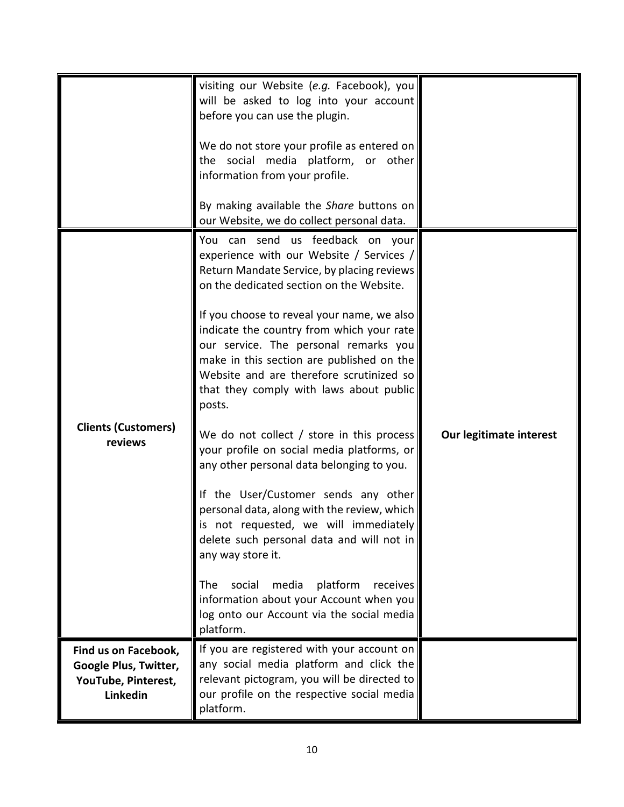|                                                          | visiting our Website (e.g. Facebook), you<br>will be asked to log into your account                                                                                                                                                                                                                                                                                                                                                                                                                                                                                                                                                                                                                                                                                                                                                                                                                                                          |                         |
|----------------------------------------------------------|----------------------------------------------------------------------------------------------------------------------------------------------------------------------------------------------------------------------------------------------------------------------------------------------------------------------------------------------------------------------------------------------------------------------------------------------------------------------------------------------------------------------------------------------------------------------------------------------------------------------------------------------------------------------------------------------------------------------------------------------------------------------------------------------------------------------------------------------------------------------------------------------------------------------------------------------|-------------------------|
|                                                          | before you can use the plugin.<br>We do not store your profile as entered on<br>the social media platform, or other<br>information from your profile.                                                                                                                                                                                                                                                                                                                                                                                                                                                                                                                                                                                                                                                                                                                                                                                        |                         |
|                                                          | By making available the Share buttons on<br>our Website, we do collect personal data.                                                                                                                                                                                                                                                                                                                                                                                                                                                                                                                                                                                                                                                                                                                                                                                                                                                        |                         |
| <b>Clients (Customers)</b><br>reviews                    | You can send us feedback on your<br>experience with our Website / Services /<br>Return Mandate Service, by placing reviews<br>on the dedicated section on the Website.<br>If you choose to reveal your name, we also<br>indicate the country from which your rate<br>our service. The personal remarks you<br>make in this section are published on the<br>Website and are therefore scrutinized so<br>that they comply with laws about public<br>posts.<br>We do not collect / store in this process<br>your profile on social media platforms, or<br>any other personal data belonging to you.<br>If the User/Customer sends any other<br>personal data, along with the review, which<br>is not requested, we will immediately<br>delete such personal data and will not in<br>any way store it.<br>social<br>media<br>platform<br>receives<br>The<br>information about your Account when you<br>log onto our Account via the social media | Our legitimate interest |
| Find us on Facebook,                                     | platform.<br>If you are registered with your account on                                                                                                                                                                                                                                                                                                                                                                                                                                                                                                                                                                                                                                                                                                                                                                                                                                                                                      |                         |
| Google Plus, Twitter,<br>YouTube, Pinterest,<br>Linkedin | any social media platform and click the<br>relevant pictogram, you will be directed to<br>our profile on the respective social media<br>platform.                                                                                                                                                                                                                                                                                                                                                                                                                                                                                                                                                                                                                                                                                                                                                                                            |                         |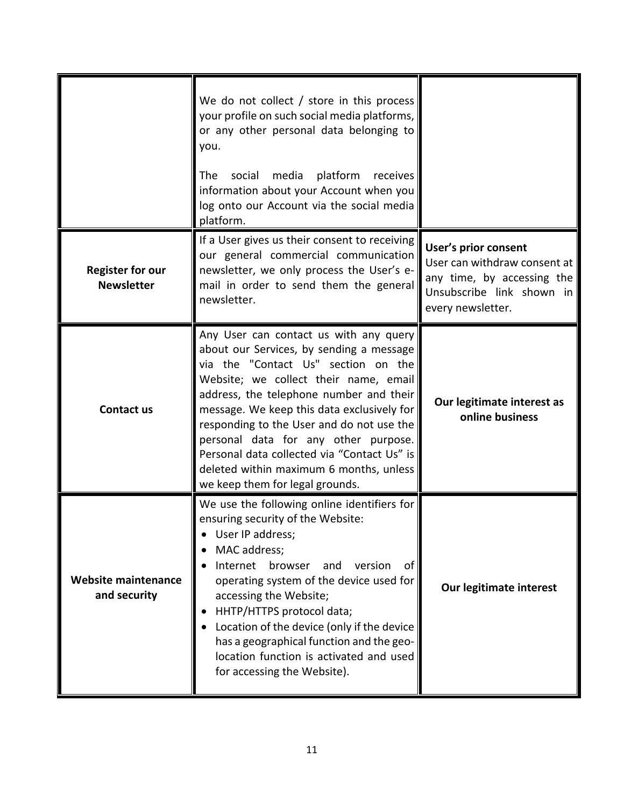|                                              | We do not collect $/$ store in this process<br>your profile on such social media platforms,<br>or any other personal data belonging to<br>you.<br>social<br>media<br>platform receives<br>The<br>information about your Account when you<br>log onto our Account via the social media<br>platform.                                                                                                                                                                            |                                                                                                                                             |
|----------------------------------------------|-------------------------------------------------------------------------------------------------------------------------------------------------------------------------------------------------------------------------------------------------------------------------------------------------------------------------------------------------------------------------------------------------------------------------------------------------------------------------------|---------------------------------------------------------------------------------------------------------------------------------------------|
| <b>Register for our</b><br><b>Newsletter</b> | If a User gives us their consent to receiving<br>our general commercial communication<br>newsletter, we only process the User's e-<br>mail in order to send them the general<br>newsletter.                                                                                                                                                                                                                                                                                   | <b>User's prior consent</b><br>User can withdraw consent at<br>any time, by accessing the<br>Unsubscribe link shown in<br>every newsletter. |
| Contact us                                   | Any User can contact us with any query<br>about our Services, by sending a message<br>via the "Contact Us" section on the<br>Website; we collect their name, email<br>address, the telephone number and their<br>message. We keep this data exclusively for<br>responding to the User and do not use the<br>personal data for any other purpose.<br>Personal data collected via "Contact Us" is<br>deleted within maximum 6 months, unless<br>we keep them for legal grounds. | Our legitimate interest as<br>online business                                                                                               |
| Website maintenance<br>and security          | We use the following online identifiers for<br>ensuring security of the Website:<br>User IP address;<br>MAC address;<br>Internet<br>browser<br>version<br>and<br>0t<br>operating system of the device used for<br>accessing the Website;<br>HHTP/HTTPS protocol data;<br>Location of the device (only if the device<br>has a geographical function and the geo-<br>location function is activated and used<br>for accessing the Website).                                     | Our legitimate interest                                                                                                                     |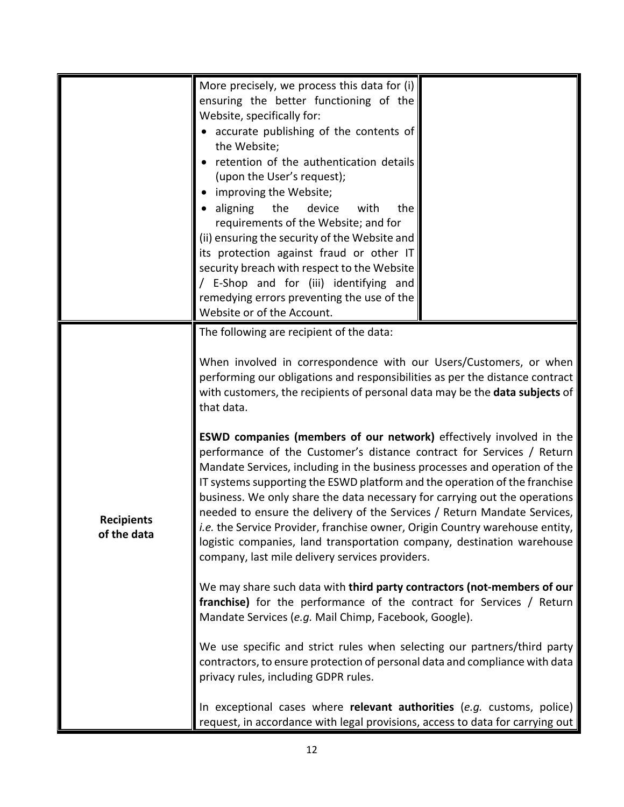|                                  | More precisely, we process this data for (i)<br>ensuring the better functioning of the<br>Website, specifically for:<br>accurate publishing of the contents of<br>the Website;<br>retention of the authentication details<br>(upon the User's request);<br>improving the Website;<br>the<br>device<br>aligning<br>with<br>the<br>requirements of the Website; and for<br>(ii) ensuring the security of the Website and<br>its protection against fraud or other IT<br>security breach with respect to the Website<br>/ E-Shop and for (iii) identifying and<br>remedying errors preventing the use of the<br>Website or of the Account.<br>The following are recipient of the data:   |  |
|----------------------------------|---------------------------------------------------------------------------------------------------------------------------------------------------------------------------------------------------------------------------------------------------------------------------------------------------------------------------------------------------------------------------------------------------------------------------------------------------------------------------------------------------------------------------------------------------------------------------------------------------------------------------------------------------------------------------------------|--|
| <b>Recipients</b><br>of the data | When involved in correspondence with our Users/Customers, or when<br>performing our obligations and responsibilities as per the distance contract<br>with customers, the recipients of personal data may be the data subjects of<br>that data.                                                                                                                                                                                                                                                                                                                                                                                                                                        |  |
|                                  | <b>ESWD companies (members of our network)</b> effectively involved in the<br>performance of the Customer's distance contract for Services / Return<br>Mandate Services, including in the business processes and operation of the<br>IT systems supporting the ESWD platform and the operation of the franchise<br>business. We only share the data necessary for carrying out the operations<br>needed to ensure the delivery of the Services / Return Mandate Services,<br>.e. the Service Provider, franchise owner, Origin Country warehouse entity,<br>logistic companies, land transportation company, destination warehouse<br>company, last mile delivery services providers. |  |
|                                  | We may share such data with third party contractors (not-members of our<br>franchise) for the performance of the contract for Services / Return<br>Mandate Services (e.g. Mail Chimp, Facebook, Google).                                                                                                                                                                                                                                                                                                                                                                                                                                                                              |  |
|                                  | We use specific and strict rules when selecting our partners/third party<br>contractors, to ensure protection of personal data and compliance with data<br>privacy rules, including GDPR rules.                                                                                                                                                                                                                                                                                                                                                                                                                                                                                       |  |
|                                  | In exceptional cases where relevant authorities (e.g. customs, police)<br>request, in accordance with legal provisions, access to data for carrying out                                                                                                                                                                                                                                                                                                                                                                                                                                                                                                                               |  |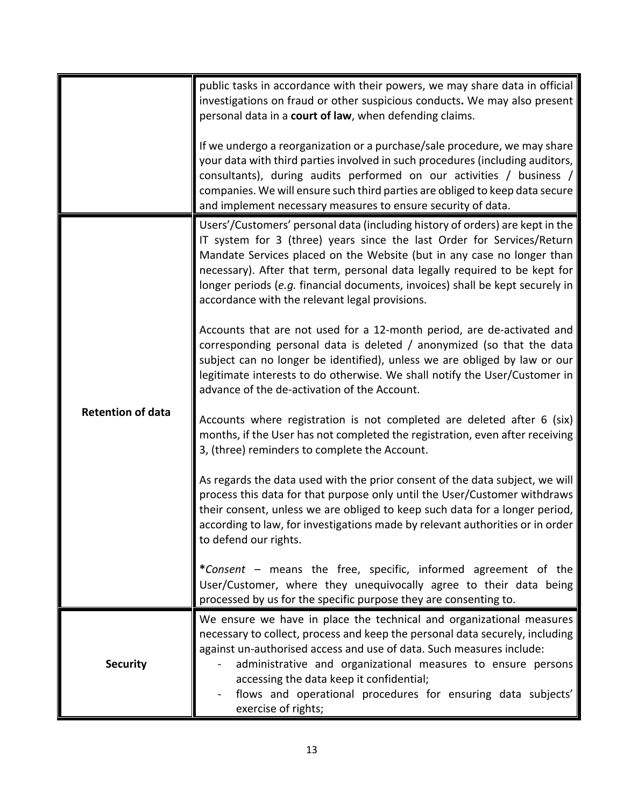|                          | public tasks in accordance with their powers, we may share data in official<br>investigations on fraud or other suspicious conducts. We may also present<br>personal data in a court of law, when defending claims.                                                                                                                                                                                                                                |
|--------------------------|----------------------------------------------------------------------------------------------------------------------------------------------------------------------------------------------------------------------------------------------------------------------------------------------------------------------------------------------------------------------------------------------------------------------------------------------------|
|                          | If we undergo a reorganization or a purchase/sale procedure, we may share<br>your data with third parties involved in such procedures (including auditors,<br>consultants), during audits performed on our activities / business /<br>companies. We will ensure such third parties are obliged to keep data secure<br>and implement necessary measures to ensure security of data.                                                                 |
| <b>Retention of data</b> | Users'/Customers' personal data (including history of orders) are kept in the<br>IT system for 3 (three) years since the last Order for Services/Return<br>Mandate Services placed on the Website (but in any case no longer than<br>necessary). After that term, personal data legally required to be kept for<br>longer periods (e.g. financial documents, invoices) shall be kept securely in<br>accordance with the relevant legal provisions. |
|                          | Accounts that are not used for a 12-month period, are de-activated and<br>corresponding personal data is deleted / anonymized (so that the data<br>subject can no longer be identified), unless we are obliged by law or our<br>legitimate interests to do otherwise. We shall notify the User/Customer in<br>advance of the de-activation of the Account.                                                                                         |
|                          | Accounts where registration is not completed are deleted after 6 (six)<br>months, if the User has not completed the registration, even after receiving<br>3, (three) reminders to complete the Account.                                                                                                                                                                                                                                            |
|                          | As regards the data used with the prior consent of the data subject, we will<br>process this data for that purpose only until the User/Customer withdraws<br>their consent, unless we are obliged to keep such data for a longer period,<br>according to law, for investigations made by relevant authorities or in order<br>to defend our rights.                                                                                                 |
|                          | *Consent – means the free, specific, informed agreement of the<br>User/Customer, where they unequivocally agree to their data being<br>processed by us for the specific purpose they are consenting to.                                                                                                                                                                                                                                            |
| <b>Security</b>          | We ensure we have in place the technical and organizational measures<br>necessary to collect, process and keep the personal data securely, including<br>against un-authorised access and use of data. Such measures include:<br>administrative and organizational measures to ensure persons<br>accessing the data keep it confidential;<br>flows and operational procedures for ensuring data subjects'<br>exercise of rights;                    |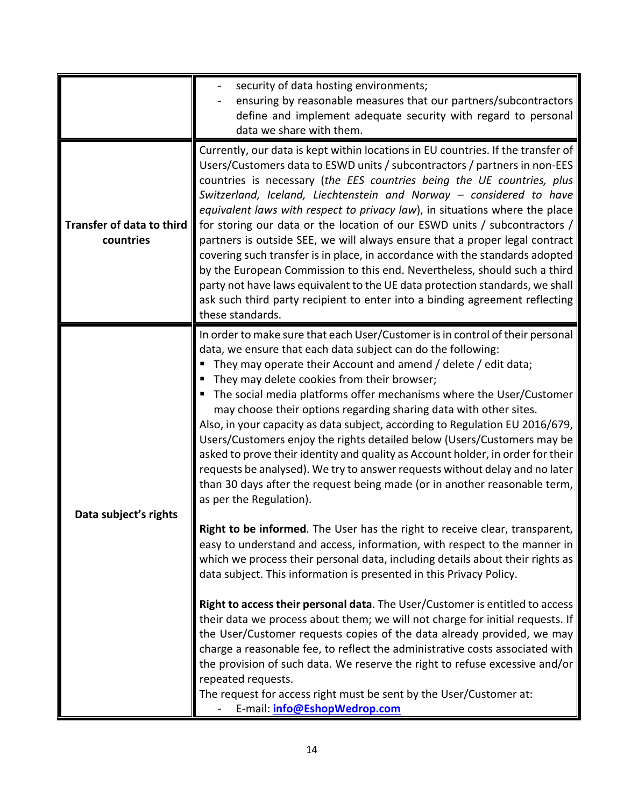|                                               | security of data hosting environments;<br>ensuring by reasonable measures that our partners/subcontractors<br>define and implement adequate security with regard to personal<br>data we share with them.                                                                                                                                                                                                                                                                                                                                                                                                                                                                                                                                                                                                                                                                                                                                                                                                                                                                                                                                                                                                                                                                                                                                                                                                                                                                                                                                                                                                                                                                                                  |
|-----------------------------------------------|-----------------------------------------------------------------------------------------------------------------------------------------------------------------------------------------------------------------------------------------------------------------------------------------------------------------------------------------------------------------------------------------------------------------------------------------------------------------------------------------------------------------------------------------------------------------------------------------------------------------------------------------------------------------------------------------------------------------------------------------------------------------------------------------------------------------------------------------------------------------------------------------------------------------------------------------------------------------------------------------------------------------------------------------------------------------------------------------------------------------------------------------------------------------------------------------------------------------------------------------------------------------------------------------------------------------------------------------------------------------------------------------------------------------------------------------------------------------------------------------------------------------------------------------------------------------------------------------------------------------------------------------------------------------------------------------------------------|
| <b>Transfer of data to third</b><br>countries | Currently, our data is kept within locations in EU countries. If the transfer of<br>Users/Customers data to ESWD units / subcontractors / partners in non-EES<br>countries is necessary (the EES countries being the UE countries, plus<br>Switzerland, Iceland, Liechtenstein and Norway - considered to have<br>equivalent laws with respect to privacy law), in situations where the place<br>for storing our data or the location of our ESWD units / subcontractors /<br>partners is outside SEE, we will always ensure that a proper legal contract<br>covering such transfer is in place, in accordance with the standards adopted<br>by the European Commission to this end. Nevertheless, should such a third<br>party not have laws equivalent to the UE data protection standards, we shall<br>ask such third party recipient to enter into a binding agreement reflecting<br>these standards.                                                                                                                                                                                                                                                                                                                                                                                                                                                                                                                                                                                                                                                                                                                                                                                                 |
| Data subject's rights                         | In order to make sure that each User/Customer is in control of their personal<br>data, we ensure that each data subject can do the following:<br>They may operate their Account and amend / delete / edit data;<br>They may delete cookies from their browser;<br>The social media platforms offer mechanisms where the User/Customer<br>may choose their options regarding sharing data with other sites.<br>Also, in your capacity as data subject, according to Regulation EU 2016/679,<br>Users/Customers enjoy the rights detailed below (Users/Customers may be<br>asked to prove their identity and quality as Account holder, in order for their<br>requests be analysed). We try to answer requests without delay and no later<br>than 30 days after the request being made (or in another reasonable term,<br>as per the Regulation).<br>Right to be informed. The User has the right to receive clear, transparent,<br>easy to understand and access, information, with respect to the manner in<br>which we process their personal data, including details about their rights as<br>data subject. This information is presented in this Privacy Policy.<br>Right to access their personal data. The User/Customer is entitled to access<br>their data we process about them; we will not charge for initial requests. If<br>the User/Customer requests copies of the data already provided, we may<br>charge a reasonable fee, to reflect the administrative costs associated with<br>the provision of such data. We reserve the right to refuse excessive and/or<br>repeated requests.<br>The request for access right must be sent by the User/Customer at:<br>E-mail: info@EshopWedrop.com |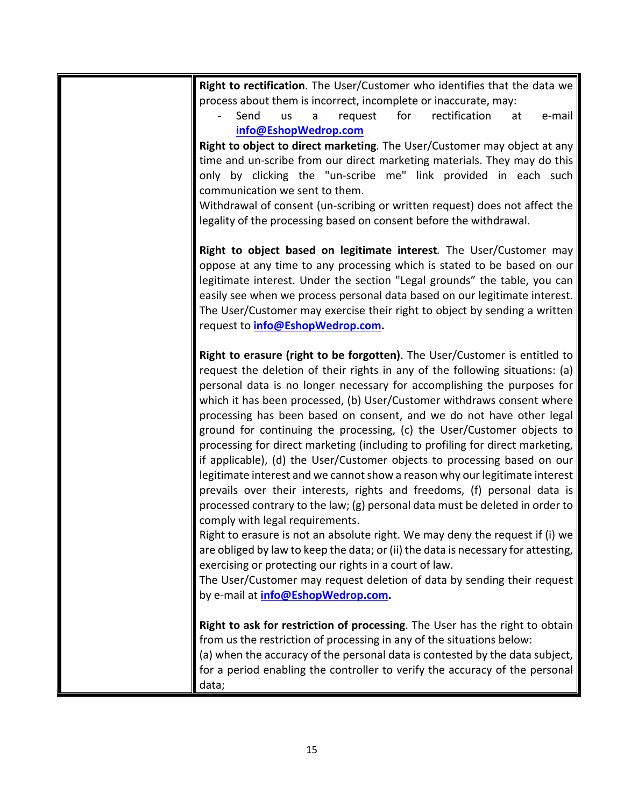| Right to rectification. The User/Customer who identifies that the data we         |
|-----------------------------------------------------------------------------------|
| process about them is incorrect, incomplete or inaccurate, may:                   |
| rectification<br>Send<br>request<br>for<br><b>us</b><br>e-mail<br>a<br>at         |
| info@EshopWedrop.com                                                              |
| Right to object to direct marketing. The User/Customer may object at any          |
| time and un-scribe from our direct marketing materials. They may do this          |
| only by clicking the "un-scribe me" link provided in each such                    |
| communication we sent to them.                                                    |
| Withdrawal of consent (un-scribing or written request) does not affect the        |
| legality of the processing based on consent before the withdrawal.                |
| Right to object based on legitimate interest. The User/Customer may               |
| oppose at any time to any processing which is stated to be based on our           |
| legitimate interest. Under the section "Legal grounds" the table, you can         |
| easily see when we process personal data based on our legitimate interest.        |
| The User/Customer may exercise their right to object by sending a written         |
| request to info@EshopWedrop.com.                                                  |
| Right to erasure (right to be forgotten). The User/Customer is entitled to        |
| request the deletion of their rights in any of the following situations: (a)      |
| personal data is no longer necessary for accomplishing the purposes for           |
| which it has been processed, (b) User/Customer withdraws consent where            |
| processing has been based on consent, and we do not have other legal              |
| ground for continuing the processing, (c) the User/Customer objects to            |
| processing for direct marketing (including to profiling for direct marketing,     |
| if applicable), (d) the User/Customer objects to processing based on our          |
| legitimate interest and we cannot show a reason why our legitimate interest       |
| prevails over their interests, rights and freedoms, (f) personal data is          |
| processed contrary to the law; (g) personal data must be deleted in order to      |
| comply with legal requirements.                                                   |
| Right to erasure is not an absolute right. We may deny the request if (i) we      |
| are obliged by law to keep the data; or (ii) the data is necessary for attesting, |
| exercising or protecting our rights in a court of law.                            |
| The User/Customer may request deletion of data by sending their request           |
| by e-mail at <i>info@EshopWedrop.com</i> .                                        |
| Right to ask for restriction of processing. The User has the right to obtain      |
| from us the restriction of processing in any of the situations below:             |
| (a) when the accuracy of the personal data is contested by the data subject,      |
| for a period enabling the controller to verify the accuracy of the personal       |
| data;                                                                             |